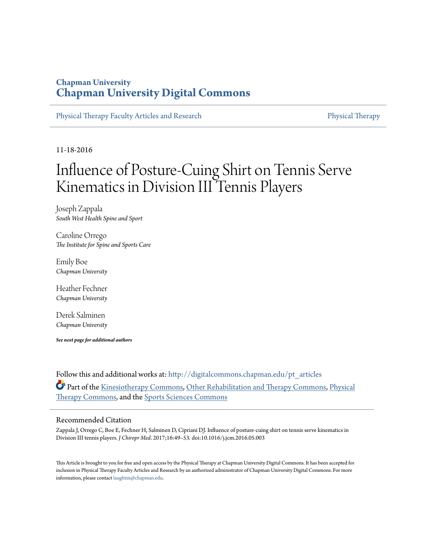## **Chapman University [Chapman University Digital Commons](http://digitalcommons.chapman.edu?utm_source=digitalcommons.chapman.edu%2Fpt_articles%2F56&utm_medium=PDF&utm_campaign=PDFCoverPages)**

[Physical Therapy Faculty Articles and Research](http://digitalcommons.chapman.edu/pt_articles?utm_source=digitalcommons.chapman.edu%2Fpt_articles%2F56&utm_medium=PDF&utm_campaign=PDFCoverPages) [Physical Therapy](http://digitalcommons.chapman.edu/physicaltherapy?utm_source=digitalcommons.chapman.edu%2Fpt_articles%2F56&utm_medium=PDF&utm_campaign=PDFCoverPages)

11-18-2016

# Influence of Posture-Cuing Shirt on Tennis Serve Kinematics in Division III Tennis Players

Joseph Zappala *South West Health Spine and Sport*

Caroline Orrego *The Institute for Spine and Sports Care*

Emily Boe *Chapman University*

Heather Fechner *Chapman University*

Derek Salminen *Chapman University*

*See next page for additional authors*

Follow this and additional works at: [http://digitalcommons.chapman.edu/pt\\_articles](http://digitalcommons.chapman.edu/pt_articles?utm_source=digitalcommons.chapman.edu%2Fpt_articles%2F56&utm_medium=PDF&utm_campaign=PDFCoverPages) Part of the [Kinesiotherapy Commons](http://network.bepress.com/hgg/discipline/757?utm_source=digitalcommons.chapman.edu%2Fpt_articles%2F56&utm_medium=PDF&utm_campaign=PDFCoverPages), [Other Rehabilitation and Therapy Commons](http://network.bepress.com/hgg/discipline/758?utm_source=digitalcommons.chapman.edu%2Fpt_articles%2F56&utm_medium=PDF&utm_campaign=PDFCoverPages), [Physical](http://network.bepress.com/hgg/discipline/754?utm_source=digitalcommons.chapman.edu%2Fpt_articles%2F56&utm_medium=PDF&utm_campaign=PDFCoverPages) [Therapy Commons,](http://network.bepress.com/hgg/discipline/754?utm_source=digitalcommons.chapman.edu%2Fpt_articles%2F56&utm_medium=PDF&utm_campaign=PDFCoverPages) and the [Sports Sciences Commons](http://network.bepress.com/hgg/discipline/759?utm_source=digitalcommons.chapman.edu%2Fpt_articles%2F56&utm_medium=PDF&utm_campaign=PDFCoverPages)

## Recommended Citation

Zappala J, Orrego C, Boe E, Fechner H, Salminen D, Cipriani DJ. Influence of posture-cuing shirt on tennis serve kinematics in Division III tennis players. *J Chiropr Med*. 2017;16:49–53. doi:10.1016/j.jcm.2016.05.003

This Article is brought to you for free and open access by the Physical Therapy at Chapman University Digital Commons. It has been accepted for inclusion in Physical Therapy Faculty Articles and Research by an authorized administrator of Chapman University Digital Commons. For more information, please contact [laughtin@chapman.edu](mailto:laughtin@chapman.edu).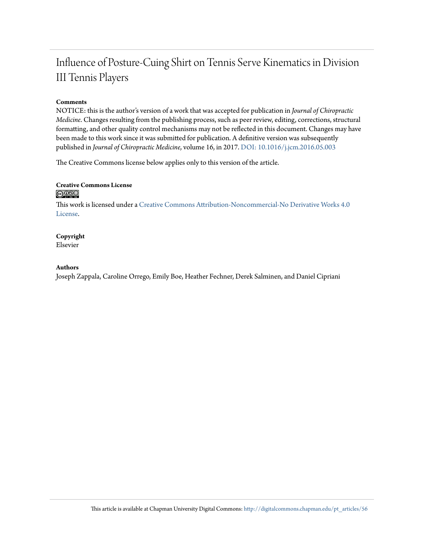# Influence of Posture-Cuing Shirt on Tennis Serve Kinematics in Division III Tennis Players

## **Comments**

NOTICE: this is the author's version of a work that was accepted for publication in *Journal of Chiropractic Medicine*. Changes resulting from the publishing process, such as peer review, editing, corrections, structural formatting, and other quality control mechanisms may not be reflected in this document. Changes may have been made to this work since it was submitted for publication. A definitive version was subsequently published in *Journal of Chiropractic Medicine*, volume 16, in 2017. [DOI: 10.1016/j.jcm.2016.05.003](http://dx.doi.org/10.1016/j.jcm.2016.05.003)

The Creative Commons license below applies only to this version of the article.

## **Creative Commons License**  $\bigcirc$   $\circ$

This work is licensed under a [Creative Commons Attribution-Noncommercial-No Derivative Works 4.0](http://creativecommons.org/licenses/by-nc-nd/4.0/) [License.](http://creativecommons.org/licenses/by-nc-nd/4.0/)

## **Copyright**

Elsevier

## **Authors**

Joseph Zappala, Caroline Orrego, Emily Boe, Heather Fechner, Derek Salminen, and Daniel Cipriani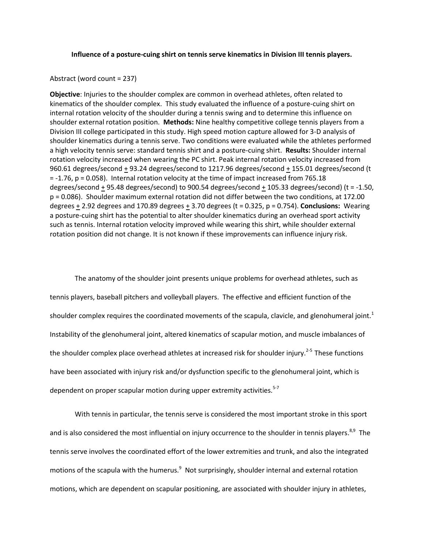#### **Influence of a posture-cuing shirt on tennis serve kinematics in Division III tennis players.**

#### Abstract (word count = 237)

**Objective**: Injuries to the shoulder complex are common in overhead athletes, often related to kinematics of the shoulder complex. This study evaluated the influence of a posture-cuing shirt on internal rotation velocity of the shoulder during a tennis swing and to determine this influence on shoulder external rotation position. **Methods:** Nine healthy competitive college tennis players from a Division III college participated in this study. High speed motion capture allowed for 3-D analysis of shoulder kinematics during a tennis serve. Two conditions were evaluated while the athletes performed a high velocity tennis serve: standard tennis shirt and a posture-cuing shirt. **Results:** Shoulder internal rotation velocity increased when wearing the PC shirt. Peak internal rotation velocity increased from 960.61 degrees/second + 93.24 degrees/second to 1217.96 degrees/second + 155.01 degrees/second (t = -1.76, p = 0.058). Internal rotation velocity at the time of impact increased from 765.18 degrees/second + 95.48 degrees/second) to 900.54 degrees/second + 105.33 degrees/second) (t = -1.50, p = 0.086). Shoulder maximum external rotation did not differ between the two conditions, at 172.00 degrees + 2.92 degrees and 170.89 degrees + 3.70 degrees (t = 0.325, p = 0.754). **Conclusions:** Wearing a posture-cuing shirt has the potential to alter shoulder kinematics during an overhead sport activity such as tennis. Internal rotation velocity improved while wearing this shirt, while shoulder external rotation position did not change. It is not known if these improvements can influence injury risk.

The anatomy of the shoulder joint presents unique problems for overhead athletes, such as tennis players, baseball pitchers and volleyball players. The effective and efficient function of the shoulder complex requires the coordinated movements of the scapula, clavicle, and glenohumeral joint.<sup>1</sup> Instability of the glenohumeral joint, altered kinematics of scapular motion, and muscle imbalances of the shoulder complex place overhead athletes at increased risk for shoulder injury.<sup>2-5</sup> These functions have been associated with injury risk and/or dysfunction specific to the glenohumeral joint, which is dependent on proper scapular motion during upper extremity activities.  $5-7$ 

With tennis in particular, the tennis serve is considered the most important stroke in this sport and is also considered the most influential on injury occurrence to the shoulder in tennis players.<sup>8,9</sup> The tennis serve involves the coordinated effort of the lower extremities and trunk, and also the integrated motions of the scapula with the humerus.<sup>9</sup> Not surprisingly, shoulder internal and external rotation motions, which are dependent on scapular positioning, are associated with shoulder injury in athletes,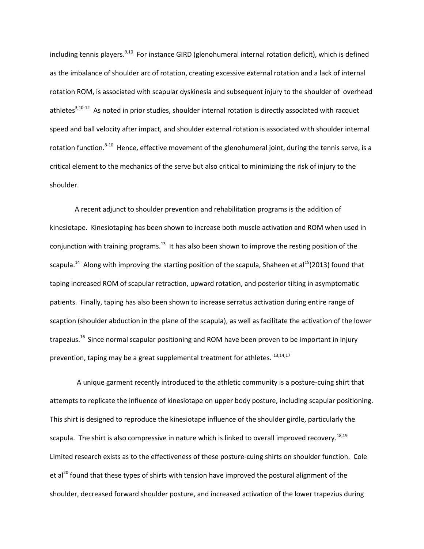including tennis players.<sup>9,10</sup> For instance GIRD (glenohumeral internal rotation deficit), which is defined as the imbalance of shoulder arc of rotation, creating excessive external rotation and a lack of internal rotation ROM, is associated with scapular dyskinesia and subsequent injury to the shoulder of overhead athletes<sup>3,10-12</sup> As noted in prior studies, shoulder internal rotation is directly associated with racquet speed and ball velocity after impact, and shoulder external rotation is associated with shoulder internal rotation function.<sup>8-10</sup> Hence, effective movement of the glenohumeral joint, during the tennis serve, is a critical element to the mechanics of the serve but also critical to minimizing the risk of injury to the shoulder.

 A recent adjunct to shoulder prevention and rehabilitation programs is the addition of kinesiotape. Kinesiotaping has been shown to increase both muscle activation and ROM when used in conjunction with training programs.<sup>13</sup> It has also been shown to improve the resting position of the scapula.<sup>14</sup> Along with improving the starting position of the scapula, Shaheen et al<sup>15</sup>(2013) found that taping increased ROM of scapular retraction, upward rotation, and posterior tilting in asymptomatic patients. Finally, taping has also been shown to increase serratus activation during entire range of scaption (shoulder abduction in the plane of the scapula), as well as facilitate the activation of the lower trapezius.<sup>16</sup> Since normal scapular positioning and ROM have been proven to be important in injury prevention, taping may be a great supplemental treatment for athletes.  $^{13,14,17}$ 

 A unique garment recently introduced to the athletic community is a posture-cuing shirt that attempts to replicate the influence of kinesiotape on upper body posture, including scapular positioning. This shirt is designed to reproduce the kinesiotape influence of the shoulder girdle, particularly the scapula. The shirt is also compressive in nature which is linked to overall improved recovery.<sup>18,19</sup> Limited research exists as to the effectiveness of these posture-cuing shirts on shoulder function. Cole et al<sup>20</sup> found that these types of shirts with tension have improved the postural alignment of the shoulder, decreased forward shoulder posture, and increased activation of the lower trapezius during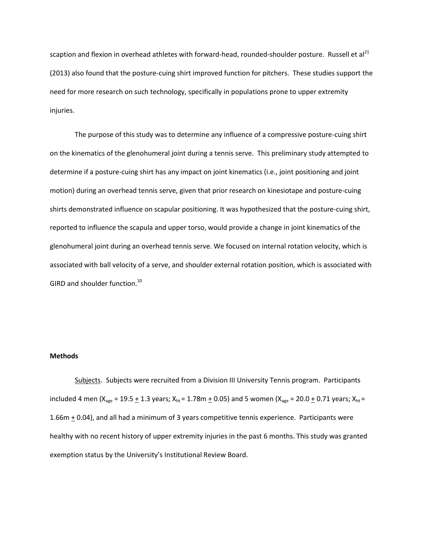scaption and flexion in overhead athletes with forward-head, rounded-shoulder posture. Russell et al<sup>21</sup> (2013) also found that the posture-cuing shirt improved function for pitchers. These studies support the need for more research on such technology, specifically in populations prone to upper extremity injuries.

The purpose of this study was to determine any influence of a compressive posture-cuing shirt on the kinematics of the glenohumeral joint during a tennis serve. This preliminary study attempted to determine if a posture-cuing shirt has any impact on joint kinematics (i.e., joint positioning and joint motion) during an overhead tennis serve, given that prior research on kinesiotape and posture-cuing shirts demonstrated influence on scapular positioning. It was hypothesized that the posture-cuing shirt, reported to influence the scapula and upper torso, would provide a change in joint kinematics of the glenohumeral joint during an overhead tennis serve. We focused on internal rotation velocity, which is associated with ball velocity of a serve, and shoulder external rotation position, which is associated with GIRD and shoulder function.<sup>10</sup>

### **Methods**

Subjects. Subjects were recruited from a Division III University Tennis program. Participants included 4 men ( $X_{\text{age}} = 19.5 \pm 1.3$  years;  $X_{\text{ht}} = 1.78 \text{m} \pm 0.05$ ) and 5 women ( $X_{\text{age}} = 20.0 \pm 0.71$  years;  $X_{\text{ht}} =$ 1.66m  $\pm$  0.04), and all had a minimum of 3 years competitive tennis experience. Participants were healthy with no recent history of upper extremity injuries in the past 6 months. This study was granted exemption status by the University's Institutional Review Board.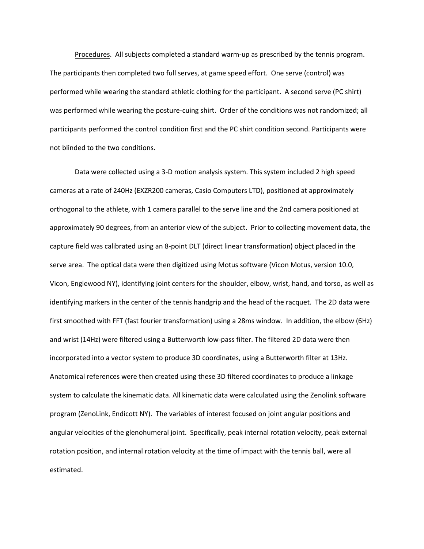Procedures. All subjects completed a standard warm-up as prescribed by the tennis program. The participants then completed two full serves, at game speed effort. One serve (control) was performed while wearing the standard athletic clothing for the participant. A second serve (PC shirt) was performed while wearing the posture-cuing shirt. Order of the conditions was not randomized; all participants performed the control condition first and the PC shirt condition second. Participants were not blinded to the two conditions.

Data were collected using a 3-D motion analysis system. This system included 2 high speed cameras at a rate of 240Hz (EXZR200 cameras, Casio Computers LTD), positioned at approximately orthogonal to the athlete, with 1 camera parallel to the serve line and the 2nd camera positioned at approximately 90 degrees, from an anterior view of the subject. Prior to collecting movement data, the capture field was calibrated using an 8-point DLT (direct linear transformation) object placed in the serve area. The optical data were then digitized using Motus software (Vicon Motus, version 10.0, Vicon, Englewood NY), identifying joint centers for the shoulder, elbow, wrist, hand, and torso, as well as identifying markers in the center of the tennis handgrip and the head of the racquet. The 2D data were first smoothed with FFT (fast fourier transformation) using a 28ms window. In addition, the elbow (6Hz) and wrist (14Hz) were filtered using a Butterworth low-pass filter. The filtered 2D data were then incorporated into a vector system to produce 3D coordinates, using a Butterworth filter at 13Hz. Anatomical references were then created using these 3D filtered coordinates to produce a linkage system to calculate the kinematic data. All kinematic data were calculated using the Zenolink software program (ZenoLink, Endicott NY). The variables of interest focused on joint angular positions and angular velocities of the glenohumeral joint. Specifically, peak internal rotation velocity, peak external rotation position, and internal rotation velocity at the time of impact with the tennis ball, were all estimated.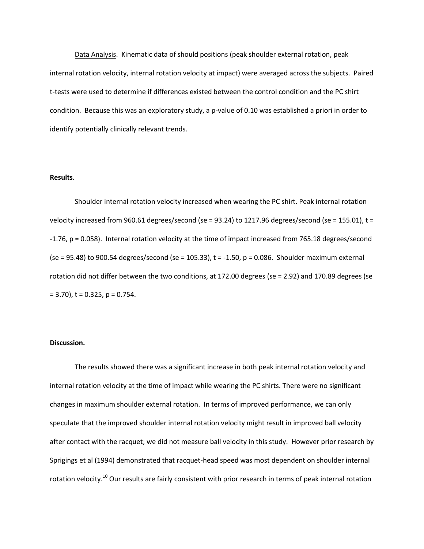Data Analysis. Kinematic data of should positions (peak shoulder external rotation, peak internal rotation velocity, internal rotation velocity at impact) were averaged across the subjects. Paired t-tests were used to determine if differences existed between the control condition and the PC shirt condition. Because this was an exploratory study, a p-value of 0.10 was established a priori in order to identify potentially clinically relevant trends.

### **Results**.

Shoulder internal rotation velocity increased when wearing the PC shirt. Peak internal rotation velocity increased from 960.61 degrees/second (se = 93.24) to 1217.96 degrees/second (se = 155.01),  $t =$ -1.76, p = 0.058). Internal rotation velocity at the time of impact increased from 765.18 degrees/second (se = 95.48) to 900.54 degrees/second (se = 105.33),  $t = -1.50$ ,  $p = 0.086$ . Shoulder maximum external rotation did not differ between the two conditions, at 172.00 degrees (se = 2.92) and 170.89 degrees (se  $= 3.70$ , t = 0.325, p = 0.754.

## **Discussion.**

The results showed there was a significant increase in both peak internal rotation velocity and internal rotation velocity at the time of impact while wearing the PC shirts. There were no significant changes in maximum shoulder external rotation. In terms of improved performance, we can only speculate that the improved shoulder internal rotation velocity might result in improved ball velocity after contact with the racquet; we did not measure ball velocity in this study. However prior research by Sprigings et al (1994) demonstrated that racquet-head speed was most dependent on shoulder internal rotation velocity.<sup>10</sup> Our results are fairly consistent with prior research in terms of peak internal rotation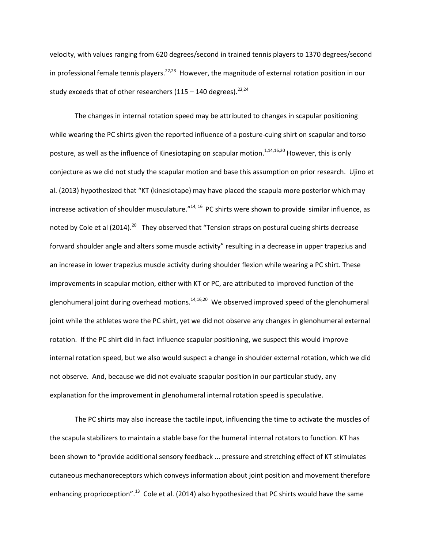velocity, with values ranging from 620 degrees/second in trained tennis players to 1370 degrees/second in professional female tennis players.<sup>22,23</sup> However, the magnitude of external rotation position in our study exceeds that of other researchers  $(115 - 140$  degrees).<sup>22,24</sup>

The changes in internal rotation speed may be attributed to changes in scapular positioning while wearing the PC shirts given the reported influence of a posture-cuing shirt on scapular and torso posture, as well as the influence of Kinesiotaping on scapular motion.<sup>1,14,16,20</sup> However, this is only conjecture as we did not study the scapular motion and base this assumption on prior research. Ujino et al. (2013) hypothesized that "KT (kinesiotape) may have placed the scapula more posterior which may increase activation of shoulder musculature. $^{n14, 16}$  PC shirts were shown to provide similar influence, as noted by Cole et al (2014).<sup>20</sup> They observed that "Tension straps on postural cueing shirts decrease forward shoulder angle and alters some muscle activity" resulting in a decrease in upper trapezius and an increase in lower trapezius muscle activity during shoulder flexion while wearing a PC shirt. These improvements in scapular motion, either with KT or PC, are attributed to improved function of the glenohumeral joint during overhead motions.<sup>14,16,20</sup> We observed improved speed of the glenohumeral joint while the athletes wore the PC shirt, yet we did not observe any changes in glenohumeral external rotation. If the PC shirt did in fact influence scapular positioning, we suspect this would improve internal rotation speed, but we also would suspect a change in shoulder external rotation, which we did not observe. And, because we did not evaluate scapular position in our particular study, any explanation for the improvement in glenohumeral internal rotation speed is speculative.

The PC shirts may also increase the tactile input, influencing the time to activate the muscles of the scapula stabilizers to maintain a stable base for the humeral internal rotators to function. KT has been shown to "provide additional sensory feedback ... pressure and stretching effect of KT stimulates cutaneous mechanoreceptors which conveys information about joint position and movement therefore enhancing proprioception".<sup>13</sup> Cole et al. (2014) also hypothesized that PC shirts would have the same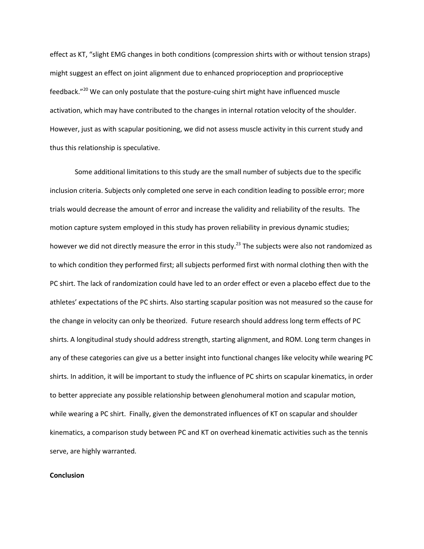effect as KT, "slight EMG changes in both conditions (compression shirts with or without tension straps) might suggest an effect on joint alignment due to enhanced proprioception and proprioceptive feedback."<sup>20</sup> We can only postulate that the posture-cuing shirt might have influenced muscle activation, which may have contributed to the changes in internal rotation velocity of the shoulder. However, just as with scapular positioning, we did not assess muscle activity in this current study and thus this relationship is speculative.

Some additional limitations to this study are the small number of subjects due to the specific inclusion criteria. Subjects only completed one serve in each condition leading to possible error; more trials would decrease the amount of error and increase the validity and reliability of the results. The motion capture system employed in this study has proven reliability in previous dynamic studies; however we did not directly measure the error in this study.<sup>23</sup> The subjects were also not randomized as to which condition they performed first; all subjects performed first with normal clothing then with the PC shirt. The lack of randomization could have led to an order effect or even a placebo effect due to the athletes' expectations of the PC shirts. Also starting scapular position was not measured so the cause for the change in velocity can only be theorized. Future research should address long term effects of PC shirts. A longitudinal study should address strength, starting alignment, and ROM. Long term changes in any of these categories can give us a better insight into functional changes like velocity while wearing PC shirts. In addition, it will be important to study the influence of PC shirts on scapular kinematics, in order to better appreciate any possible relationship between glenohumeral motion and scapular motion, while wearing a PC shirt. Finally, given the demonstrated influences of KT on scapular and shoulder kinematics, a comparison study between PC and KT on overhead kinematic activities such as the tennis serve, are highly warranted.

#### **Conclusion**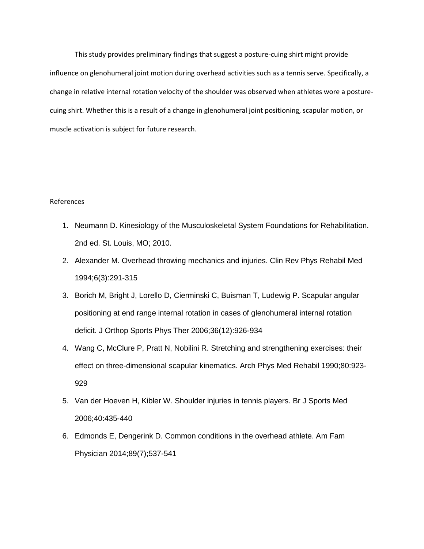This study provides preliminary findings that suggest a posture-cuing shirt might provide influence on glenohumeral joint motion during overhead activities such as a tennis serve. Specifically, a change in relative internal rotation velocity of the shoulder was observed when athletes wore a posturecuing shirt. Whether this is a result of a change in glenohumeral joint positioning, scapular motion, or muscle activation is subject for future research.

## References

- 1. Neumann D. Kinesiology of the Musculoskeletal System Foundations for Rehabilitation. 2nd ed. St. Louis, MO; 2010.
- 2. Alexander M. Overhead throwing mechanics and injuries. Clin Rev Phys Rehabil Med 1994;6(3):291-315
- 3. Borich M, Bright J, Lorello D, Cierminski C, Buisman T, Ludewig P. Scapular angular positioning at end range internal rotation in cases of glenohumeral internal rotation deficit. J Orthop Sports Phys Ther 2006;36(12):926-934
- 4. Wang C, McClure P, Pratt N, Nobilini R. Stretching and strengthening exercises: their effect on three-dimensional scapular kinematics. Arch Phys Med Rehabil 1990;80:923- 929
- 5. Van der Hoeven H, Kibler W. Shoulder injuries in tennis players. Br J Sports Med 2006;40:435-440
- 6. Edmonds E, Dengerink D. Common conditions in the overhead athlete. Am Fam Physician 2014;89(7);537-541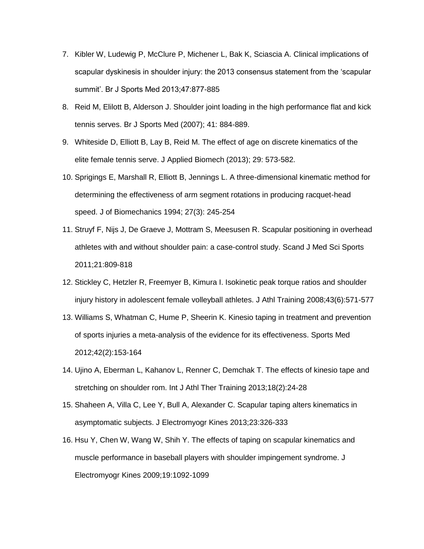- 7. Kibler W, Ludewig P, McClure P, Michener L, Bak K, Sciascia A. Clinical implications of scapular dyskinesis in shoulder injury: the 2013 consensus statement from the 'scapular summit'. Br J Sports Med 2013;47:877-885
- 8. Reid M, Elilott B, Alderson J. Shoulder joint loading in the high performance flat and kick tennis serves. Br J Sports Med (2007); 41: 884-889.
- 9. Whiteside D, Elliott B, Lay B, Reid M. The effect of age on discrete kinematics of the elite female tennis serve. J Applied Biomech (2013); 29: 573-582.
- 10. Sprigings E, Marshall R, Elliott B, Jennings L. A three-dimensional kinematic method for determining the effectiveness of arm segment rotations in producing racquet-head speed. J of Biomechanics 1994; 27(3): 245-254
- 11. Struyf F, Nijs J, De Graeve J, Mottram S, Meesusen R. Scapular positioning in overhead athletes with and without shoulder pain: a case-control study. Scand J Med Sci Sports 2011;21:809-818
- 12. Stickley C, Hetzler R, Freemyer B, Kimura I. Isokinetic peak torque ratios and shoulder injury history in adolescent female volleyball athletes. J Athl Training 2008;43(6):571-577
- 13. Williams S, Whatman C, Hume P, Sheerin K. Kinesio taping in treatment and prevention of sports injuries a meta-analysis of the evidence for its effectiveness. Sports Med 2012;42(2):153-164
- 14. Ujino A, Eberman L, Kahanov L, Renner C, Demchak T. The effects of kinesio tape and stretching on shoulder rom. Int J Athl Ther Training 2013;18(2):24-28
- 15. Shaheen A, Villa C, Lee Y, Bull A, Alexander C. Scapular taping alters kinematics in asymptomatic subjects. J Electromyogr Kines 2013;23:326-333
- 16. Hsu Y, Chen W, Wang W, Shih Y. The effects of taping on scapular kinematics and muscle performance in baseball players with shoulder impingement syndrome. J Electromyogr Kines 2009;19:1092-1099